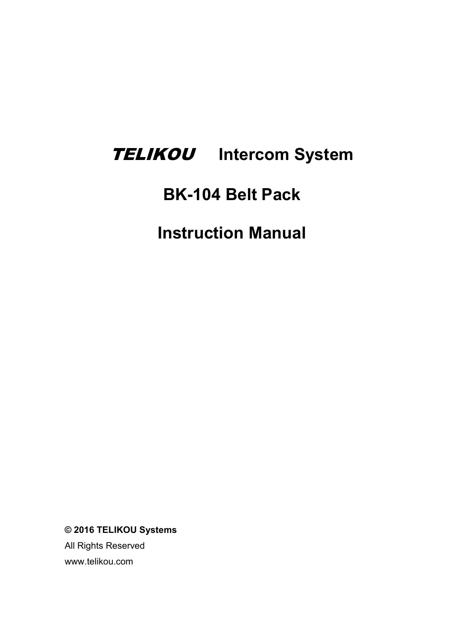# TELIKOU **Intercom System**

# **BK-104 Belt Pack**

**Instruction Manual**

**© 2016 TELIKOU Systems**

All Rights Reserved www.telikou.com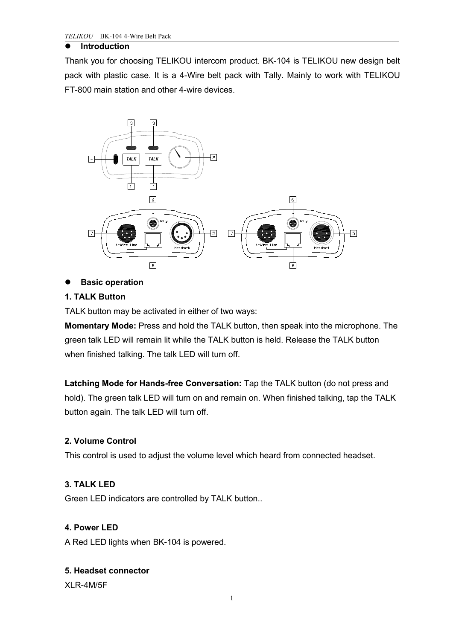#### **Introduction**

Thank you for choosing TELIKOU intercom product. BK-104 is TELIKOU new design belt pack with plastic case. It is a 4-Wire belt pack with Tally. Mainly to work with TELIKOU FT-800 main station and other 4-wire devices.



# **Basic operation**

# **1. TALK Button**

TALK button may be activated in either of two ways:

**Momentary Mode:** Press and hold the TALK button, then speak into the microphone. The green talk LED will remain lit while the TALK button is held. Release the TALK button when finished talking. The talk LED will turn off.

**Latching Mode for Hands-free Conversation:** Tap the TALK button (do not press and hold). The green talk LED will turn on and remain on. When finished talking, tap the TALK button again. The talk LED will turn off.

# **2. Volume Control**

This control is used to adjust the volume level which heard from connected headset.

# **3. TALK LED**

Green LED indicators are controlled by TALK button..

#### **4. Power LED**

A RedLED lights when BK-104 is powered.

#### **5. Headset connector**

XLR-4M/5F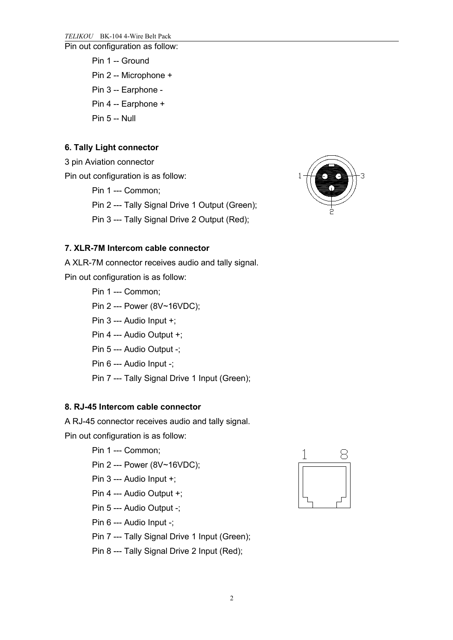Pin out configuration as follow:

- Pin 1 -- Ground
- Pin 2 -- Microphone +
- Pin 3 -- Earphone -
- Pin 4 -- Earphone +
- Pin 5 -- Null

# **6. Tally Light connector**

3 pin Aviation connector

Pin out configuration is as follow:

Pin 1 --- Common;

Pin 2 --- Tally Signal Drive 1 Output (Green);

Pin 3 --- Tally Signal Drive 2 Output (Red);



# **7. XLR-7M Intercom cable connector**

A XLR-7M connector receives audio and tally signal. Pin out configuration is as follow:

Pin 1 --- Common;

- Pin 2 --- Power (8V~16VDC);
- Pin 3 --- Audio Input +;
- Pin 4 --- Audio Output +;
- Pin 5 --- Audio Output -;
- Pin 6 --- Audio Input -;
- Pin 7 --- Tally Signal Drive 1 Input (Green);

# **8. RJ-45 Intercom cable connector**

A RJ-45 connector receives audio and tally signal.

Pin out configuration is as follow:

# Pin 1 --- Common;

- Pin 2 --- Power (8V~16VDC);
- Pin 3 --- Audio Input +;
- Pin 4 --- Audio Output +;
- Pin 5 --- Audio Output -;
- Pin 6 --- Audio Input -;
- Pin 7 --- Tally Signal Drive 1 Input (Green);
- Pin 8 --- Tally Signal Drive 2 Input (Red);